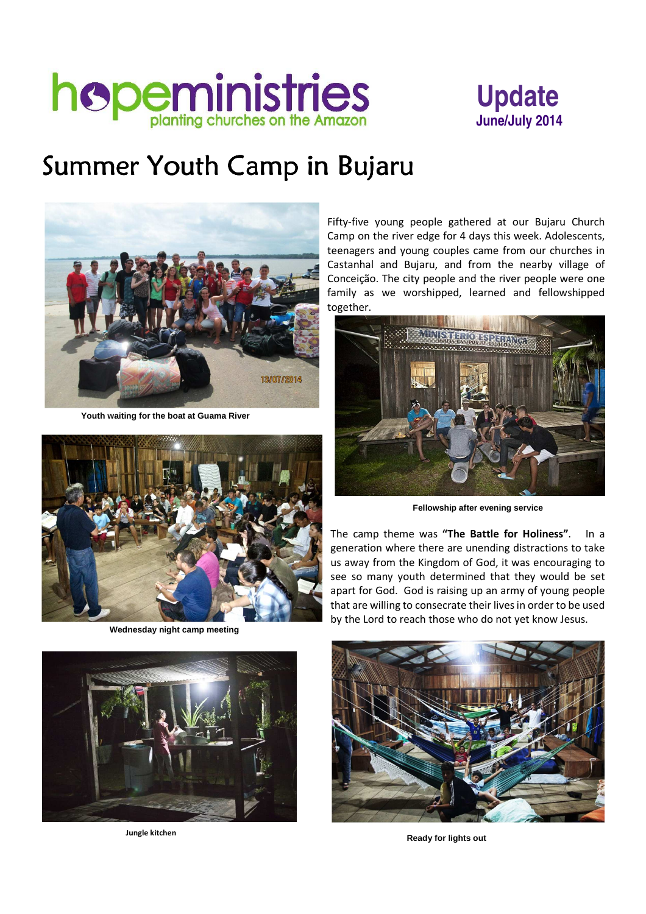



# Summer Youth Camp in Bujaru



 **Youth waiting for the boat at Guama River** 



 **Wednesday night camp meeting**



Fifty-five young people gathered at our Bujaru Church Camp on the river edge for 4 days this week. Adolescents, teenagers and young couples came from our churches in Castanhal and Bujaru, and from the nearby village of Conceição. The city people and the river people were one family as we worshipped, learned and fellowshipped together.



 **Fellowship after evening service**

The camp theme was **"The Battle for Holiness"**. In a generation where there are unending distractions to take us away from the Kingdom of God, it was encouraging to see so many youth determined that they would be set apart for God. God is raising up an army of young people that are willing to consecrate their lives in order to be used by the Lord to reach those who do not yet know Jesus.



 **Jungle kitchen Ready for lights out**